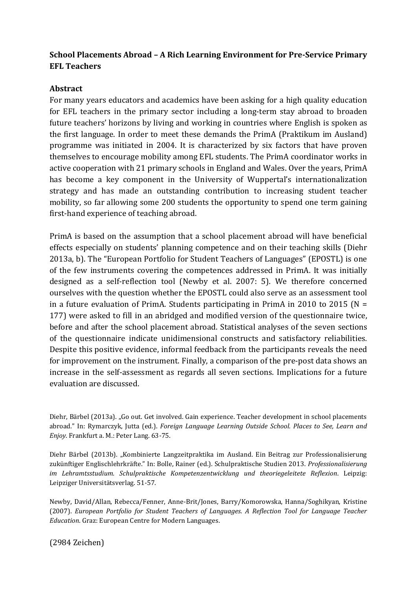## **School Placements Abroad – A Rich Learning Environment for Pre-Service Primary EFL Teachers**

## **Abstract**

For many years educators and academics have been asking for a high quality education for EFL teachers in the primary sector including a long-term stay abroad to broaden future teachers' horizons by living and working in countries where English is spoken as the first language. In order to meet these demands the PrimA (Praktikum im Ausland) programme was initiated in 2004. It is characterized by six factors that have proven themselves to encourage mobility among EFL students. The PrimA coordinator works in active cooperation with 21 primary schools in England and Wales. Over the years, PrimA has become a key component in the University of Wuppertal's internationalization strategy and has made an outstanding contribution to increasing student teacher mobility, so far allowing some 200 students the opportunity to spend one term gaining first-hand experience of teaching abroad.

PrimA is based on the assumption that a school placement abroad will have beneficial effects especially on students' planning competence and on their teaching skills (Diehr 2013a, b). The "European Portfolio for Student Teachers of Languages" (EPOSTL) is one of the few instruments covering the competences addressed in PrimA. It was initially designed as a self-reflection tool (Newby et al. 2007: 5). We therefore concerned ourselves with the question whether the EPOSTL could also serve as an assessment tool in a future evaluation of PrimA. Students participating in PrimA in 2010 to 2015 ( $N =$ 177) were asked to fill in an abridged and modified version of the questionnaire twice, before and after the school placement abroad. Statistical analyses of the seven sections of the questionnaire indicate unidimensional constructs and satisfactory reliabilities. Despite this positive evidence, informal feedback from the participants reveals the need for improvement on the instrument. Finally, a comparison of the pre-post data shows an increase in the self-assessment as regards all seven sections. Implications for a future evaluation are discussed.

Diehr, Bärbel (2013a). "Go out. Get involved. Gain experience. Teacher development in school placements abroad." In: Rymarczyk, Jutta (ed.). *Foreign Language Learning Outside School. Places to See, Learn and Enjoy*. Frankfurt a. M.: Peter Lang. 63-75.

Diehr Bärbel (2013b). "Kombinierte Langzeitpraktika im Ausland. Ein Beitrag zur Professionalisierung zukünftiger Englischlehrkräfte." In: Bolle, Rainer (ed.). Schulpraktische Studien 2013. *Professionalisierung im Lehramtsstudium. Schulpraktische Kompetenzentwicklung und theoriegeleitete Reflexion*. Leipzig: Leipziger Universitätsverlag. 51-57.

Newby, David/Allan, Rebecca/Fenner, Anne-Brit/Jones, Barry/Komorowska, Hanna/Soghikyan, Kristine (2007). *European Portfolio for Student Teachers of Languages. A Reflection Tool for Language Teacher Education*. Graz: European Centre for Modern Languages.

(2984 Zeichen)